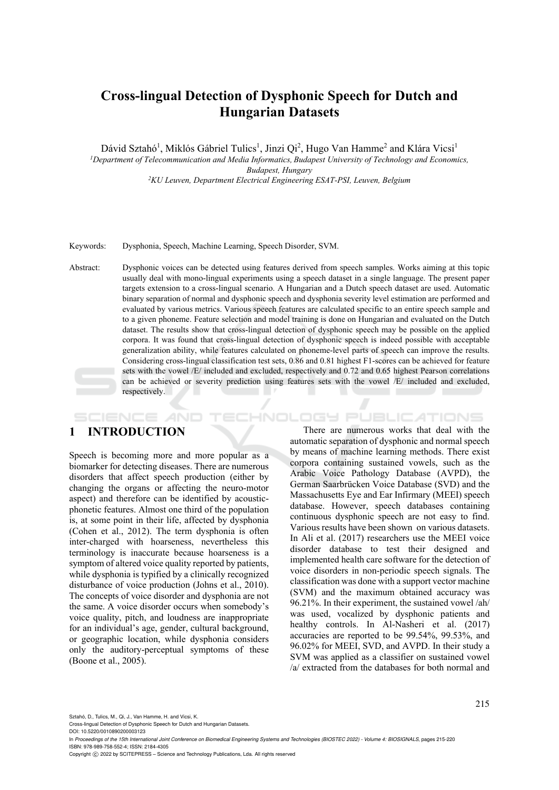# **Cross-lingual Detection of Dysphonic Speech for Dutch and Hungarian Datasets**

Dávid Sztahó<sup>1</sup>, Miklós Gábriel Tulics<sup>1</sup>, Jinzi Qi<sup>2</sup>, Hugo Van Hamme<sup>2</sup> and Klára Vicsi<sup>1</sup> *1 Department of Telecommunication and Media Informatics, Budapest University of Technology and Economics, Budapest, Hungary 2KU Leuven, Department Electrical Engineering ESAT-PSI, Leuven, Belgium* 

Keywords: Dysphonia, Speech, Machine Learning, Speech Disorder, SVM.

Abstract: Dysphonic voices can be detected using features derived from speech samples. Works aiming at this topic usually deal with mono-lingual experiments using a speech dataset in a single language. The present paper targets extension to a cross-lingual scenario. A Hungarian and a Dutch speech dataset are used. Automatic binary separation of normal and dysphonic speech and dysphonia severity level estimation are performed and evaluated by various metrics. Various speech features are calculated specific to an entire speech sample and to a given phoneme. Feature selection and model training is done on Hungarian and evaluated on the Dutch dataset. The results show that cross-lingual detection of dysphonic speech may be possible on the applied corpora. It was found that cross-lingual detection of dysphonic speech is indeed possible with acceptable generalization ability, while features calculated on phoneme-level parts of speech can improve the results. Considering cross-lingual classification test sets, 0.86 and 0.81 highest F1-scores can be achieved for feature sets with the vowel /E/ included and excluded, respectively and 0.72 and 0.65 highest Pearson correlations can be achieved or severity prediction using features sets with the vowel /E/ included and excluded, respectively.  $\mathbb{R}^n$ 

## **1 INTRODUCTION**

SCIENCE *A*ND

Speech is becoming more and more popular as a biomarker for detecting diseases. There are numerous disorders that affect speech production (either by changing the organs or affecting the neuro-motor aspect) and therefore can be identified by acousticphonetic features. Almost one third of the population is, at some point in their life, affected by dysphonia (Cohen et al., 2012). The term dysphonia is often inter-charged with hoarseness, nevertheless this terminology is inaccurate because hoarseness is a symptom of altered voice quality reported by patients, while dysphonia is typified by a clinically recognized disturbance of voice production (Johns et al., 2010). The concepts of voice disorder and dysphonia are not the same. A voice disorder occurs when somebody's voice quality, pitch, and loudness are inappropriate for an individual's age, gender, cultural background, or geographic location, while dysphonia considers only the auditory-perceptual symptoms of these (Boone et al., 2005).

There are numerous works that deal with the automatic separation of dysphonic and normal speech by means of machine learning methods. There exist corpora containing sustained vowels, such as the Arabic Voice Pathology Database (AVPD), the German Saarbrücken Voice Database (SVD) and the Massachusetts Eye and Ear Infirmary (MEEI) speech database. However, speech databases containing continuous dysphonic speech are not easy to find. Various results have been shown on various datasets. In Ali et al. (2017) researchers use the MEEI voice disorder database to test their designed and implemented health care software for the detection of voice disorders in non-periodic speech signals. The classification was done with a support vector machine (SVM) and the maximum obtained accuracy was 96.21%. In their experiment, the sustained vowel /ah/ was used, vocalized by dysphonic patients and healthy controls. In Al-Nasheri et al. (2017) accuracies are reported to be 99.54%, 99.53%, and 96.02% for MEEI, SVD, and AVPD. In their study a SVM was applied as a classifier on sustained vowel /a/ extracted from the databases for both normal and

HNOLOGY PUBLICATIONS

Sztahó, D., Tulics, M., Qi, J., Van Hamme, H. and Vicsi, K.

DOI: 10.5220/0010890200003123

Cross-lingual Detection of Dysphonic Speech for Dutch and Hungarian Datasets.

In *Proceedings of the 15th International Joint Conference on Biomedical Engineering Systems and Technologies (BIOSTEC 2022) - Volume 4: BIOSIGNALS*, pages 215-220 ISBN: 978-989-758-552-4; ISSN: 2184-4305

Copyright (C) 2022 by SCITEPRESS - Science and Technology Publications, Lda. All rights reserved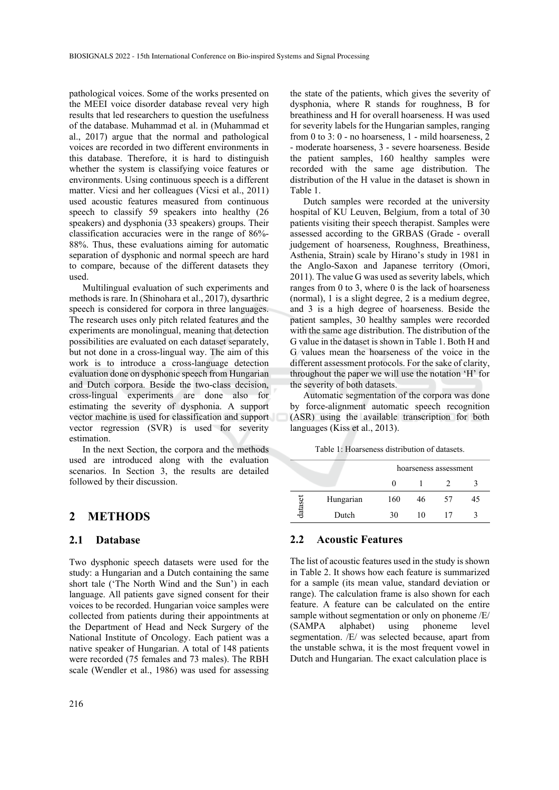pathological voices. Some of the works presented on the MEEI voice disorder database reveal very high results that led researchers to question the usefulness of the database. Muhammad et al. in (Muhammad et al., 2017) argue that the normal and pathological voices are recorded in two different environments in this database. Therefore, it is hard to distinguish whether the system is classifying voice features or environments. Using continuous speech is a different matter. Vicsi and her colleagues (Vicsi et al., 2011) used acoustic features measured from continuous speech to classify 59 speakers into healthy (26 speakers) and dysphonia (33 speakers) groups. Their classification accuracies were in the range of 86%- 88%. Thus, these evaluations aiming for automatic separation of dysphonic and normal speech are hard to compare, because of the different datasets they used.

Multilingual evaluation of such experiments and methods is rare. In (Shinohara et al., 2017), dysarthric speech is considered for corpora in three languages. The research uses only pitch related features and the experiments are monolingual, meaning that detection possibilities are evaluated on each dataset separately, but not done in a cross-lingual way. The aim of this work is to introduce a cross-language detection evaluation done on dysphonic speech from Hungarian and Dutch corpora. Beside the two-class decision, cross-lingual experiments are done also for estimating the severity of dysphonia. A support vector machine is used for classification and support vector regression (SVR) is used for severity estimation.

In the next Section, the corpora and the methods used are introduced along with the evaluation scenarios. In Section 3, the results are detailed followed by their discussion.

### **2 METHODS**

#### **2.1 Database**

Two dysphonic speech datasets were used for the study: a Hungarian and a Dutch containing the same short tale ('The North Wind and the Sun') in each language. All patients gave signed consent for their voices to be recorded. Hungarian voice samples were collected from patients during their appointments at the Department of Head and Neck Surgery of the National Institute of Oncology. Each patient was a native speaker of Hungarian. A total of 148 patients were recorded (75 females and 73 males). The RBH scale (Wendler et al., 1986) was used for assessing

the state of the patients, which gives the severity of dysphonia, where R stands for roughness, B for breathiness and H for overall hoarseness. H was used for severity labels for the Hungarian samples, ranging from 0 to 3: 0 - no hoarseness, 1 - mild hoarseness, 2 - moderate hoarseness, 3 - severe hoarseness. Beside the patient samples, 160 healthy samples were recorded with the same age distribution. The distribution of the H value in the dataset is shown in Table 1.

Dutch samples were recorded at the university hospital of KU Leuven, Belgium, from a total of 30 patients visiting their speech therapist. Samples were assessed according to the GRBAS (Grade - overall judgement of hoarseness, Roughness, Breathiness, Asthenia, Strain) scale by Hirano's study in 1981 in the Anglo-Saxon and Japanese territory (Omori, 2011). The value G was used as severity labels, which ranges from 0 to 3, where 0 is the lack of hoarseness (normal), 1 is a slight degree, 2 is a medium degree, and 3 is a high degree of hoarseness. Beside the patient samples, 30 healthy samples were recorded with the same age distribution. The distribution of the G value in the dataset is shown in Table 1. Both H and G values mean the hoarseness of the voice in the different assessment protocols. For the sake of clarity, throughout the paper we will use the notation 'H' for the severity of both datasets.

Automatic segmentation of the corpora was done by force-alignment automatic speech recognition (ASR) using the available transcription for both languages (Kiss et al., 2013).

Table 1: Hoarseness distribution of datasets.

|        |           | hoarseness assessment |    |    |    |  |
|--------|-----------|-----------------------|----|----|----|--|
|        |           |                       |    |    |    |  |
| datase | Hungarian | 160                   | 46 | 57 | 45 |  |
|        | Dutch     | 30                    |    | 17 |    |  |

#### **2.2 Acoustic Features**

The list of acoustic features used in the study is shown in Table 2. It shows how each feature is summarized for a sample (its mean value, standard deviation or range). The calculation frame is also shown for each feature. A feature can be calculated on the entire sample without segmentation or only on phoneme /E/ (SAMPA alphabet) using phoneme level segmentation. /E/ was selected because, apart from the unstable schwa, it is the most frequent vowel in Dutch and Hungarian. The exact calculation place is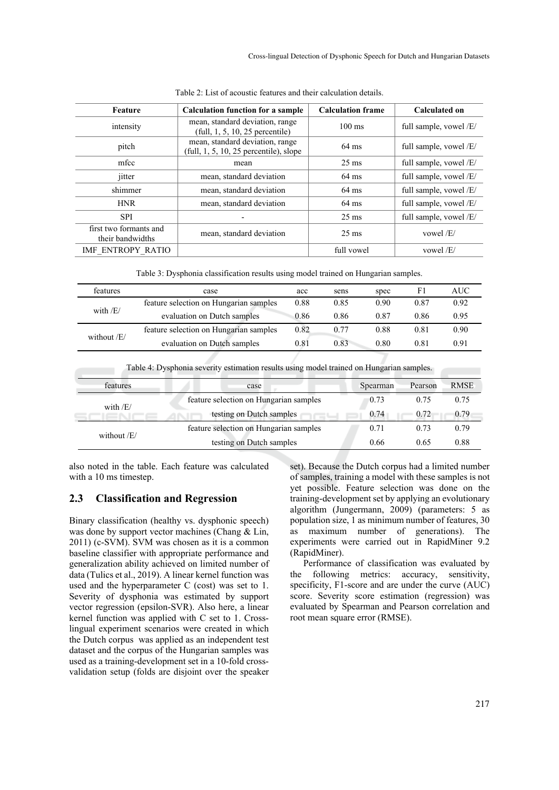| Feature                                    | <b>Calculation function for a sample</b>                                    | <b>Calculation frame</b> | Calculated on          |  |  |  |  |
|--------------------------------------------|-----------------------------------------------------------------------------|--------------------------|------------------------|--|--|--|--|
| intensity                                  | mean, standard deviation, range<br>$(full, 1, 5, 10, 25$ percentile)        | $100 \text{ ms}$         | full sample, vowel /E/ |  |  |  |  |
| pitch                                      | mean, standard deviation, range<br>$(tull, 1, 5, 10, 25$ percentile), slope | $64 \text{ ms}$          | full sample, vowel/E/  |  |  |  |  |
| mfcc                                       | mean                                                                        | $25 \text{ ms}$          | full sample, vowel /E/ |  |  |  |  |
| jitter                                     | mean, standard deviation                                                    | $64 \text{ ms}$          | full sample, vowel /E/ |  |  |  |  |
| shimmer                                    | mean, standard deviation                                                    | $64 \text{ ms}$          | full sample, vowel /E/ |  |  |  |  |
| <b>HNR</b>                                 | mean, standard deviation                                                    | $64 \text{ ms}$          | full sample, vowel /E/ |  |  |  |  |
| <b>SPI</b>                                 |                                                                             | $25 \text{ ms}$          | full sample, vowel /E/ |  |  |  |  |
| first two formants and<br>their bandwidths | mean, standard deviation                                                    | $25 \text{ ms}$          | vowel $/E/$            |  |  |  |  |
| IMF ENTROPY RATIO                          |                                                                             | full vowel               | vowel $/E/$            |  |  |  |  |

Table 2: List of acoustic features and their calculation details.

Table 3: Dysphonia classification results using model trained on Hungarian samples.

| features        | case                                                                                             |                                        | sens | spec     | F1      | <b>AUC</b>  |
|-----------------|--------------------------------------------------------------------------------------------------|----------------------------------------|------|----------|---------|-------------|
|                 | feature selection on Hungarian samples                                                           | 0.88                                   | 0.85 | 0.90     | 0.87    | 0.92        |
| with $/E/$      | evaluation on Dutch samples                                                                      | 0.86                                   | 0.86 | 0.87     | 0.86    | 0.95        |
|                 | feature selection on Hungarian samples                                                           | 0.82                                   | 0.77 | 0.88     | 0.81    | 0.90        |
| without /E/     | evaluation on Dutch samples                                                                      | 0.81                                   | 0.83 | 0.80     | 0.81    | 0.91        |
| <b>features</b> | Table 4: Dysphonia severity estimation results using model trained on Hungarian samples.<br>case |                                        |      | Spearman | Pearson | <b>RMSE</b> |
|                 |                                                                                                  |                                        |      |          |         |             |
| with $/E/$      |                                                                                                  | feature selection on Hungarian samples |      |          | 0.75    | 0.75        |
|                 | testing on Dutch samples                                                                         |                                        |      | 0.74     | 0.72    | 0.79        |
| without /F/     | feature selection on Hungarian samples                                                           |                                        | 0.71 | 0.73     | 0.79    |             |
|                 |                                                                                                  |                                        |      |          |         |             |

also noted in the table. Each feature was calculated with a 10 ms timestep.

## **2.3 Classification and Regression**

Binary classification (healthy vs. dysphonic speech) was done by support vector machines (Chang & Lin, 2011) (c-SVM). SVM was chosen as it is a common baseline classifier with appropriate performance and generalization ability achieved on limited number of data (Tulics et al., 2019). A linear kernel function was used and the hyperparameter C (cost) was set to 1. Severity of dysphonia was estimated by support vector regression (epsilon-SVR). Also here, a linear kernel function was applied with C set to 1. Crosslingual experiment scenarios were created in which the Dutch corpus was applied as an independent test dataset and the corpus of the Hungarian samples was used as a training-development set in a 10-fold crossvalidation setup (folds are disjoint over the speaker

set). Because the Dutch corpus had a limited number of samples, training a model with these samples is not yet possible. Feature selection was done on the training-development set by applying an evolutionary algorithm (Jungermann, 2009) (parameters: 5 as population size, 1 as minimum number of features, 30 as maximum number of generations). The experiments were carried out in RapidMiner 9.2 (RapidMiner).

Performance of classification was evaluated by the following metrics: accuracy, sensitivity, specificity, F1-score and are under the curve (AUC) score. Severity score estimation (regression) was evaluated by Spearman and Pearson correlation and root mean square error (RMSE).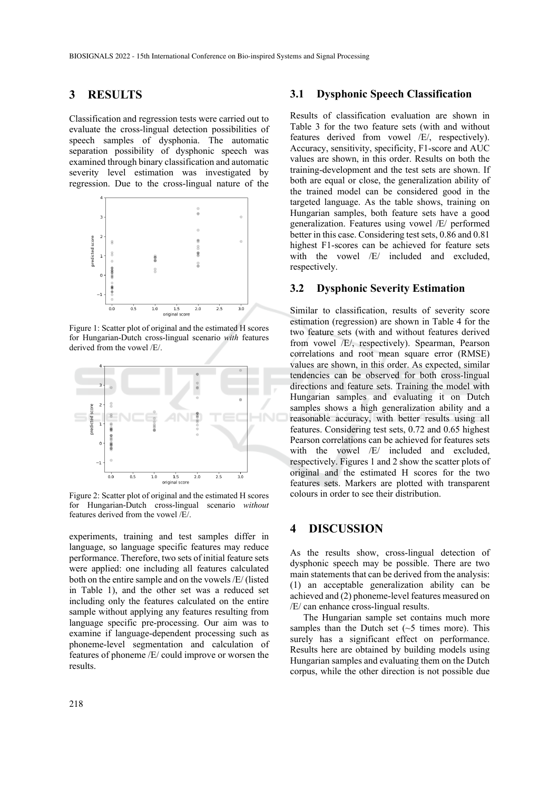## **3 RESULTS**

Classification and regression tests were carried out to evaluate the cross-lingual detection possibilities of speech samples of dysphonia. The automatic separation possibility of dysphonic speech was examined through binary classification and automatic severity level estimation was investigated by regression. Due to the cross-lingual nature of the



Figure 1: Scatter plot of original and the estimated H scores for Hungarian-Dutch cross-lingual scenario *with* features derived from the vowel /E/.



Figure 2: Scatter plot of original and the estimated H scores for Hungarian-Dutch cross-lingual scenario *without* features derived from the vowel /E/.

experiments, training and test samples differ in language, so language specific features may reduce performance. Therefore, two sets of initial feature sets were applied: one including all features calculated both on the entire sample and on the vowels /E/ (listed in Table 1), and the other set was a reduced set including only the features calculated on the entire sample without applying any features resulting from language specific pre-processing. Our aim was to examine if language-dependent processing such as phoneme-level segmentation and calculation of features of phoneme /E/ could improve or worsen the results.

#### **3.1 Dysphonic Speech Classification**

Results of classification evaluation are shown in Table 3 for the two feature sets (with and without features derived from vowel /E/, respectively). Accuracy, sensitivity, specificity, F1-score and AUC values are shown, in this order. Results on both the training-development and the test sets are shown. If both are equal or close, the generalization ability of the trained model can be considered good in the targeted language. As the table shows, training on Hungarian samples, both feature sets have a good generalization. Features using vowel /E/ performed better in this case. Considering test sets, 0.86 and 0.81 highest F1-scores can be achieved for feature sets with the vowel /E/ included and excluded, respectively.

#### **3.2 Dysphonic Severity Estimation**

Similar to classification, results of severity score estimation (regression) are shown in Table 4 for the two feature sets (with and without features derived from vowel /E/, respectively). Spearman, Pearson correlations and root mean square error (RMSE) values are shown, in this order. As expected, similar tendencies can be observed for both cross-lingual directions and feature sets. Training the model with Hungarian samples and evaluating it on Dutch samples shows a high generalization ability and a reasonable accuracy, with better results using all features. Considering test sets, 0.72 and 0.65 highest Pearson correlations can be achieved for features sets with the vowel /E/ included and excluded, respectively. Figures 1 and 2 show the scatter plots of original and the estimated H scores for the two features sets. Markers are plotted with transparent colours in order to see their distribution.

## **4 DISCUSSION**

As the results show, cross-lingual detection of dysphonic speech may be possible. There are two main statements that can be derived from the analysis: (1) an acceptable generalization ability can be achieved and (2) phoneme-level features measured on /E/ can enhance cross-lingual results.

The Hungarian sample set contains much more samples than the Dutch set  $({\sim}5$  times more). This surely has a significant effect on performance. Results here are obtained by building models using Hungarian samples and evaluating them on the Dutch corpus, while the other direction is not possible due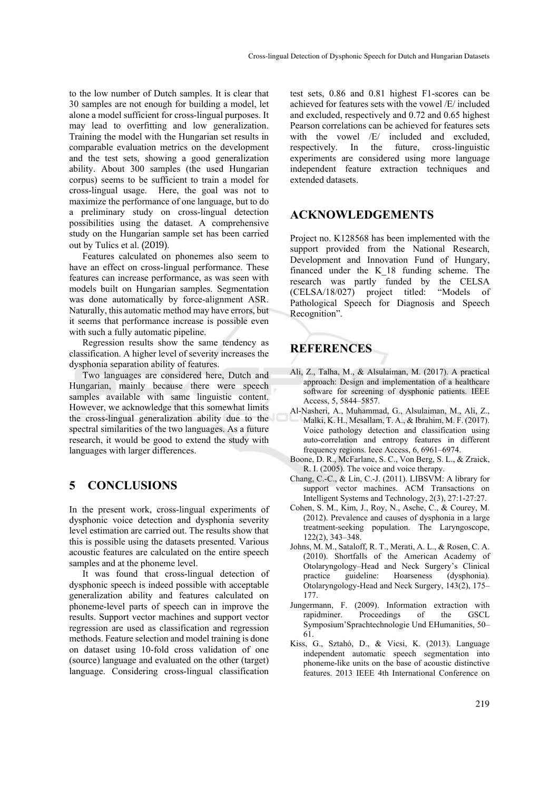to the low number of Dutch samples. It is clear that 30 samples are not enough for building a model, let alone a model sufficient for cross-lingual purposes. It may lead to overfitting and low generalization. Training the model with the Hungarian set results in comparable evaluation metrics on the development and the test sets, showing a good generalization ability. About 300 samples (the used Hungarian corpus) seems to be sufficient to train a model for cross-lingual usage. Here, the goal was not to maximize the performance of one language, but to do a preliminary study on cross-lingual detection possibilities using the dataset. A comprehensive study on the Hungarian sample set has been carried out by Tulics et al. (2019).

Features calculated on phonemes also seem to have an effect on cross-lingual performance. These features can increase performance, as was seen with models built on Hungarian samples. Segmentation was done automatically by force-alignment ASR. Naturally, this automatic method may have errors, but it seems that performance increase is possible even with such a fully automatic pipeline.

Regression results show the same tendency as classification. A higher level of severity increases the dysphonia separation ability of features.

Two languages are considered here, Dutch and Hungarian, mainly because there were speech samples available with same linguistic content. However, we acknowledge that this somewhat limits the cross-lingual generalization ability due to the spectral similarities of the two languages. As a future research, it would be good to extend the study with languages with larger differences.

## **5 CONCLUSIONS**

In the present work, cross-lingual experiments of dysphonic voice detection and dysphonia severity level estimation are carried out. The results show that this is possible using the datasets presented. Various acoustic features are calculated on the entire speech samples and at the phoneme level.

It was found that cross-lingual detection of dysphonic speech is indeed possible with acceptable generalization ability and features calculated on phoneme-level parts of speech can in improve the results. Support vector machines and support vector regression are used as classification and regression methods. Feature selection and model training is done on dataset using 10-fold cross validation of one (source) language and evaluated on the other (target) language. Considering cross-lingual classification

test sets, 0.86 and 0.81 highest F1-scores can be achieved for features sets with the vowel /E/ included and excluded, respectively and 0.72 and 0.65 highest Pearson correlations can be achieved for features sets with the vowel /E/ included and excluded, respectively. In the future, cross-linguistic experiments are considered using more language independent feature extraction techniques and extended datasets.

## **ACKNOWLEDGEMENTS**

Project no. K128568 has been implemented with the support provided from the National Research, Development and Innovation Fund of Hungary, financed under the K\_18 funding scheme. The research was partly funded by the CELSA (CELSA/18/027) project titled: "Models of Pathological Speech for Diagnosis and Speech Recognition".

# **REFERENCES**

- Ali, Z., Talha, M., & Alsulaiman, M. (2017). A practical approach: Design and implementation of a healthcare software for screening of dysphonic patients. IEEE Access, 5, 5844–5857.
- Al-Nasheri, A., Muhammad, G., Alsulaiman, M., Ali, Z., Malki, K. H., Mesallam, T. A., & Ibrahim, M. F. (2017). Voice pathology detection and classification using auto-correlation and entropy features in different frequency regions. Ieee Access, 6, 6961–6974.
- Boone, D. R., McFarlane, S. C., Von Berg, S. L., & Zraick, R. I. (2005). The voice and voice therapy.
- Chang, C.-C., & Lin, C.-J. (2011). LIBSVM: A library for support vector machines. ACM Transactions on Intelligent Systems and Technology, 2(3), 27:1-27:27.
- Cohen, S. M., Kim, J., Roy, N., Asche, C., & Courey, M. (2012). Prevalence and causes of dysphonia in a large treatment-seeking population. The Laryngoscope, 122(2), 343–348.
- Johns, M. M., Sataloff, R. T., Merati, A. L., & Rosen, C. A. (2010). Shortfalls of the American Academy of Otolaryngology–Head and Neck Surgery's Clinical practice guideline: Hoarseness (dysphonia). Otolaryngology-Head and Neck Surgery, 143(2), 175– 177.
- Jungermann, F. (2009). Information extraction with rapidminer. Proceedings of the GSCL Symposium'Sprachtechnologie Und EHumanities, 50– 61.
- Kiss, G., Sztahó, D., & Vicsi, K. (2013). Language independent automatic speech segmentation into phoneme-like units on the base of acoustic distinctive features. 2013 IEEE 4th International Conference on